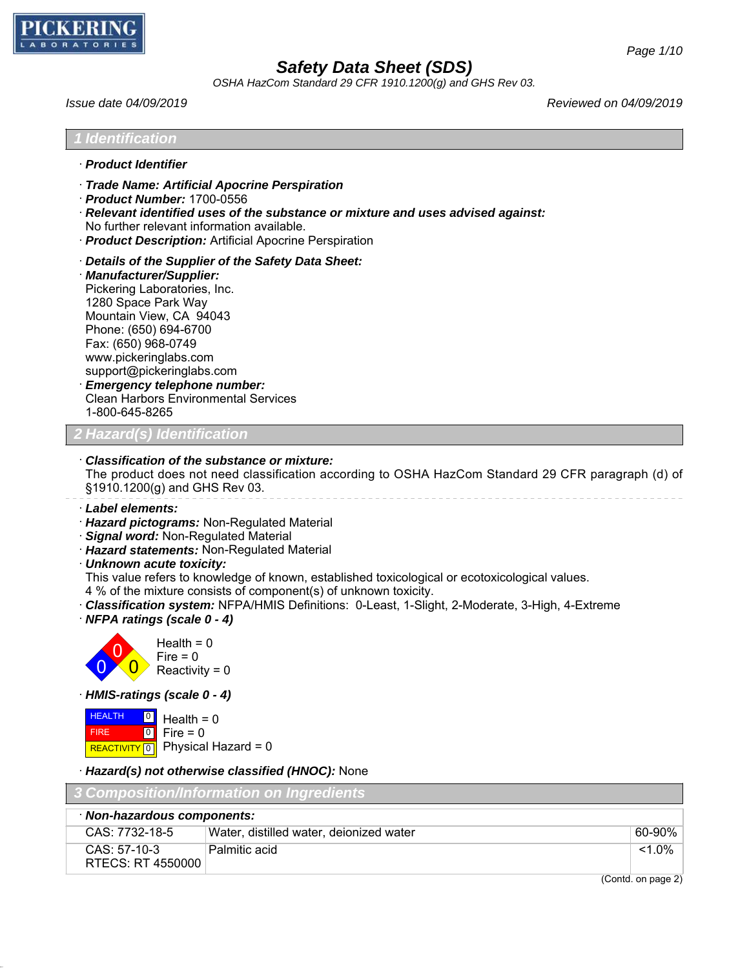

49.0.1

# *Safety Data Sheet (SDS)*

*OSHA HazCom Standard 29 CFR 1910.1200(g) and GHS Rev 03.*

| Issue date 04/09/2019                                                                                                                                                                                                                                                                                                                                                                                                                                                                         | Reviewed on 04/09/2019 |
|-----------------------------------------------------------------------------------------------------------------------------------------------------------------------------------------------------------------------------------------------------------------------------------------------------------------------------------------------------------------------------------------------------------------------------------------------------------------------------------------------|------------------------|
| <b>I</b> Identification                                                                                                                                                                                                                                                                                                                                                                                                                                                                       |                        |
| · Product Identifier                                                                                                                                                                                                                                                                                                                                                                                                                                                                          |                        |
| Trade Name: Artificial Apocrine Perspiration<br>$\cdot$ Product Number: 1700-0556<br>· Relevant identified uses of the substance or mixture and uses advised against:<br>No further relevant information available.<br>· Product Description: Artificial Apocrine Perspiration                                                                                                                                                                                                                |                        |
| Details of the Supplier of the Safety Data Sheet:<br>· Manufacturer/Supplier:<br>Pickering Laboratories, Inc.<br>1280 Space Park Way<br>Mountain View, CA 94043<br>Phone: (650) 694-6700<br>Fax: (650) 968-0749<br>www.pickeringlabs.com<br>support@pickeringlabs.com<br><b>Emergency telephone number:</b><br><b>Clean Harbors Environmental Services</b><br>1-800-645-8265                                                                                                                  |                        |
| ? Hazard(s) Identification                                                                                                                                                                                                                                                                                                                                                                                                                                                                    |                        |
| Classification of the substance or mixture:<br>The product does not need classification according to OSHA HazCom Standard 29 CFR paragraph (d) of<br>§1910.1200(g) and GHS Rev 03.                                                                                                                                                                                                                                                                                                            |                        |
| · Label elements:<br>· Hazard pictograms: Non-Regulated Material<br>· Signal word: Non-Regulated Material<br>· Hazard statements: Non-Regulated Material<br>· Unknown acute toxicity:<br>This value refers to knowledge of known, established toxicological or ecotoxicological values.<br>4 % of the mixture consists of component(s) of unknown toxicity.<br>Classification system: NFPA/HMIS Definitions: 0-Least, 1-Slight, 2-Moderate, 3-High, 4-Extreme<br>· NFPA ratings (scale 0 - 4) |                        |
| Health = $0$<br>$Fire = 0$<br>Reactivity = $0$                                                                                                                                                                                                                                                                                                                                                                                                                                                |                        |
| · HMIS-ratings (scale 0 - 4)                                                                                                                                                                                                                                                                                                                                                                                                                                                                  |                        |
| <b>HEALTH</b><br>Health = $0$<br>Fire $= 0$<br> 0 <br><b>FIRE</b><br>Physical Hazard = 0<br>REACTIVITY <sup>0</sup>                                                                                                                                                                                                                                                                                                                                                                           |                        |
| · Hazard(s) not otherwise classified (HNOC): None                                                                                                                                                                                                                                                                                                                                                                                                                                             |                        |
| <u> Composition/Information on Ingredients</u>                                                                                                                                                                                                                                                                                                                                                                                                                                                |                        |

| Non-hazardous components:           |                                         |           |
|-------------------------------------|-----------------------------------------|-----------|
| CAS: 7732-18-5                      | Water, distilled water, deionized water | 60-90%    |
| $CAS: 57-10-3$<br>RTECS: RT 4550000 | Palmitic acid<br>$\sim$                 | $< 1.0\%$ |

(Contd. on page 2)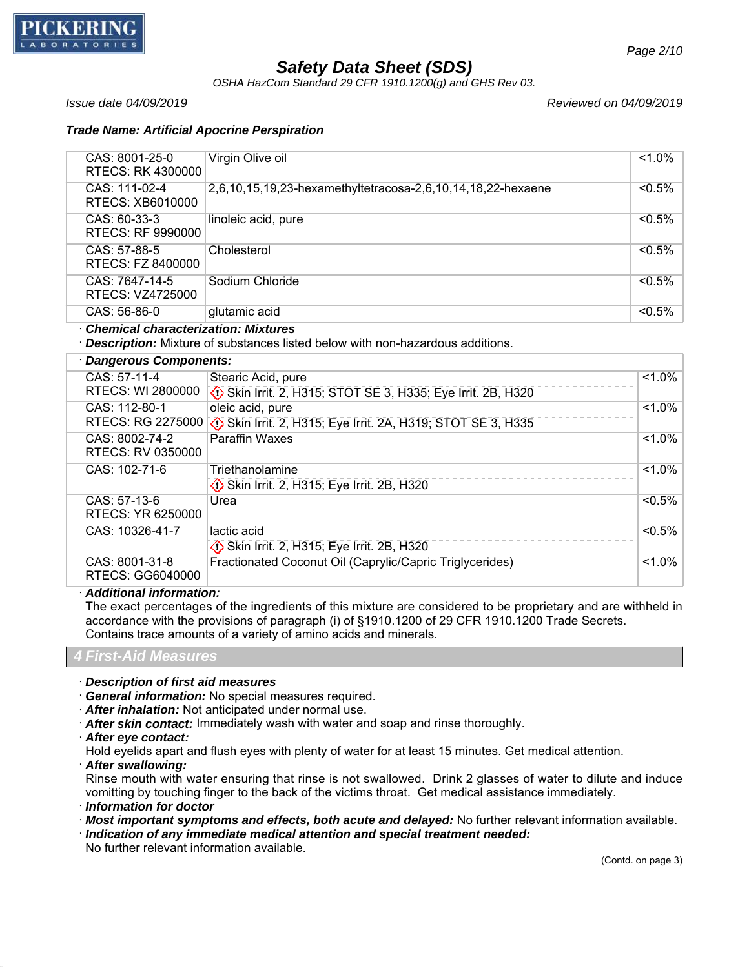

*OSHA HazCom Standard 29 CFR 1910.1200(g) and GHS Rev 03.*

*Issue date 04/09/2019 Reviewed on 04/09/2019*

## *Trade Name: Artificial Apocrine Perspiration*

| CAS: 8001-25-0<br><b>RTECS: RK 4300000</b> | Virgin Olive oil                                                                                    | $1.0\%$   |
|--------------------------------------------|-----------------------------------------------------------------------------------------------------|-----------|
| CAS: 111-02-4<br>RTECS: XB6010000          | 2,6,10,15,19,23-hexamethyltetracosa-2,6,10,14,18,22-hexaene                                         | $< 0.5\%$ |
| CAS: 60-33-3<br>RTECS: RF 9990000          | linoleic acid, pure                                                                                 | $< 0.5\%$ |
| CAS: 57-88-5<br>RTECS: FZ 8400000          | Cholesterol                                                                                         | $< 0.5\%$ |
| CAS: 7647-14-5<br>RTECS: VZ4725000         | Sodium Chloride                                                                                     | < 0.5%    |
| CAS: 56-86-0                               | glutamic acid                                                                                       | < 0.5%    |
| <b>Chemical characterization: Mixtures</b> | · Description: Mixture of substances listed below with non-hazardous additions.                     |           |
| · Dangerous Components:                    |                                                                                                     |           |
| CAS: 57-11-4<br>RTECS: WI 2800000          | Stearic Acid, pure<br>Skin Irrit. 2, H315; STOT SE 3, H335; Eye Irrit. 2B, H320                     | $1.0\%$   |
| CAS: 112-80-1                              | oleic acid, pure<br>RTECS: RG 2275000 (1) Skin Irrit. 2, H315; Eye Irrit. 2A, H319; STOT SE 3, H335 | $< 1.0\%$ |
| CAS: 8002-74-2<br>RTECS: RV 0350000        | <b>Paraffin Waxes</b>                                                                               | $< 1.0\%$ |
| CAS: 102-71-6                              | Triethanolamine<br>Skin Irrit. 2, H315; Eye Irrit. 2B, H320                                         | $< 1.0\%$ |
| CAS: 57-13-6<br>RTECS: YR 6250000          | Urea                                                                                                | $< 0.5\%$ |
| CAS: 10326-41-7                            | lactic acid<br>Skin Irrit. 2, H315; Eye Irrit. 2B, H320                                             | 5%        |
| CAS: 8001-31-8<br><b>RTECS: GG6040000</b>  | Fractionated Coconut Oil (Caprylic/Capric Triglycerides)                                            | $< 1.0\%$ |

· *Additional information:*

The exact percentages of the ingredients of this mixture are considered to be proprietary and are withheld in accordance with the provisions of paragraph (i) of §1910.1200 of 29 CFR 1910.1200 Trade Secrets. Contains trace amounts of a variety of amino acids and minerals.

*4 First-Aid Measures*

· *Description of first aid measures*

· *General information:* No special measures required.

· *After inhalation:* Not anticipated under normal use.

· *After skin contact:* Immediately wash with water and soap and rinse thoroughly.

· *After eye contact:*

Hold eyelids apart and flush eyes with plenty of water for at least 15 minutes. Get medical attention.

· *After swallowing:*

49.0.1

Rinse mouth with water ensuring that rinse is not swallowed. Drink 2 glasses of water to dilute and induce vomitting by touching finger to the back of the victims throat. Get medical assistance immediately.

· *Information for doctor*

· *Most important symptoms and effects, both acute and delayed:* No further relevant information available.

· *Indication of any immediate medical attention and special treatment needed:*

No further relevant information available.

(Contd. on page 3)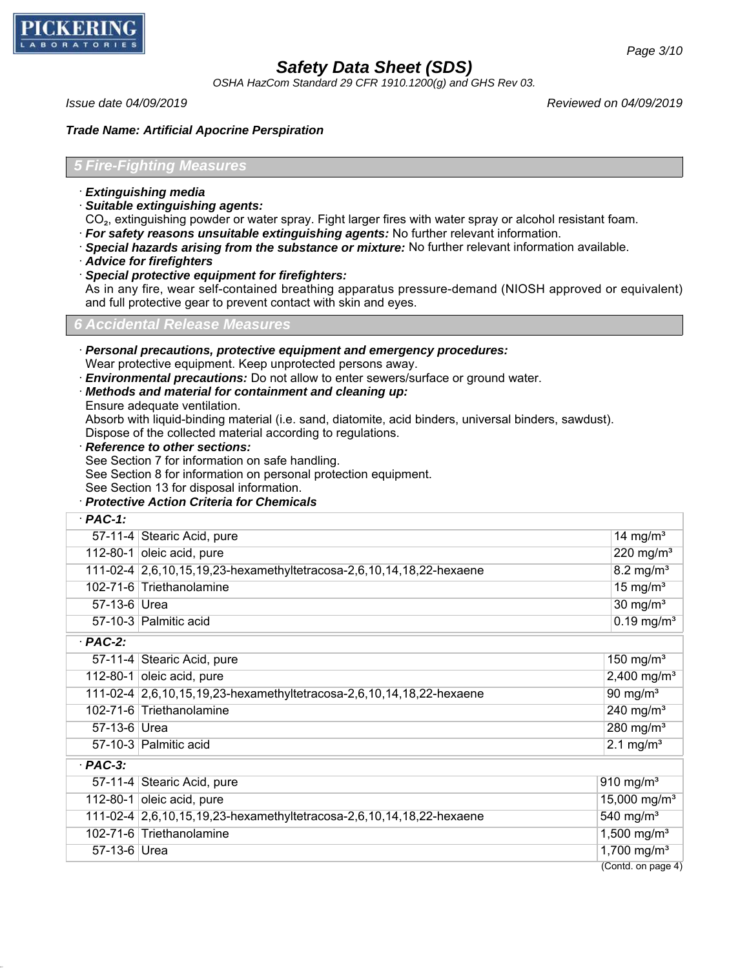

*OSHA HazCom Standard 29 CFR 1910.1200(g) and GHS Rev 03.*

*Issue date 04/09/2019 Reviewed on 04/09/2019*

*Page 3/10*

### *Trade Name: Artificial Apocrine Perspiration*

### *5 Fire-Fighting Measures*

- · *Extinguishing media*
- · *Suitable extinguishing agents:*
- CO₂, extinguishing powder or water spray. Fight larger fires with water spray or alcohol resistant foam.
- · *For safety reasons unsuitable extinguishing agents:* No further relevant information.
- · *Special hazards arising from the substance or mixture:* No further relevant information available.
- · *Advice for firefighters*
- · *Special protective equipment for firefighters:*

As in any fire, wear self-contained breathing apparatus pressure-demand (NIOSH approved or equivalent) and full protective gear to prevent contact with skin and eyes.

# *6 Accidental Release Measures*

- · *Personal precautions, protective equipment and emergency procedures:*
- Wear protective equipment. Keep unprotected persons away.
- · *Environmental precautions:* Do not allow to enter sewers/surface or ground water.
- · *Methods and material for containment and cleaning up:*
- Ensure adequate ventilation.

Absorb with liquid-binding material (i.e. sand, diatomite, acid binders, universal binders, sawdust). Dispose of the collected material according to regulations.

- · *Reference to other sections:*
- See Section 7 for information on safe handling.
- See Section 8 for information on personal protection equipment.
- See Section 13 for disposal information.

# · *Protective Action Criteria for Chemicals*

| $PAC-1$ :    |                                                                      |                          |
|--------------|----------------------------------------------------------------------|--------------------------|
|              | 57-11-4 Stearic Acid, pure                                           | 14 mg/m <sup>3</sup>     |
|              | 112-80-1 oleic acid, pure                                            | 220 mg/m <sup>3</sup>    |
|              | 111-02-4 2,6,10,15,19,23-hexamethyltetracosa-2,6,10,14,18,22-hexaene | $8.2$ mg/m <sup>3</sup>  |
|              | 102-71-6 Triethanolamine                                             | $15 \text{ mg/m}^3$      |
| 57-13-6 Urea |                                                                      | 30 mg/ $m3$              |
|              | 57-10-3 Palmitic acid                                                | $0.19$ mg/m <sup>3</sup> |
| .            |                                                                      |                          |

· *PAC-2:*

49.0.1

| FAUL.        |                                                                      |                          |
|--------------|----------------------------------------------------------------------|--------------------------|
|              | 57-11-4 Stearic Acid, pure                                           | 150 mg/m <sup>3</sup>    |
|              | 112-80-1 oleic acid, pure                                            | 2,400 mg/m <sup>3</sup>  |
|              | 111-02-4 2,6,10,15,19,23-hexamethyltetracosa-2,6,10,14,18,22-hexaene | 90 mg/ $m3$              |
|              | 102-71-6 Triethanolamine                                             | 240 mg/ $m3$             |
| 57-13-6 Urea |                                                                      | 280 mg/ $m3$             |
|              | 57-10-3 Palmitic acid                                                | 2.1 mg/ $m3$             |
| $PAC-3:$     |                                                                      |                          |
|              | 57-11-4 Stearic Acid, pure                                           | $910$ mg/m <sup>3</sup>  |
|              | 112-80-1 oleic acid, pure                                            | 15,000 mg/m <sup>3</sup> |
|              | 111-02-4 2,6,10,15,19,23-hexamethyltetracosa-2,6,10,14,18,22-hexaene | 540 mg/ $m3$             |
|              | 102-71-6 Triethanolamine                                             | 1,500 mg/m <sup>3</sup>  |
| 57-13-6 Urea |                                                                      | 1,700 mg/m <sup>3</sup>  |
|              |                                                                      | $\sqrt{2}$               |

(Contd. on page 4)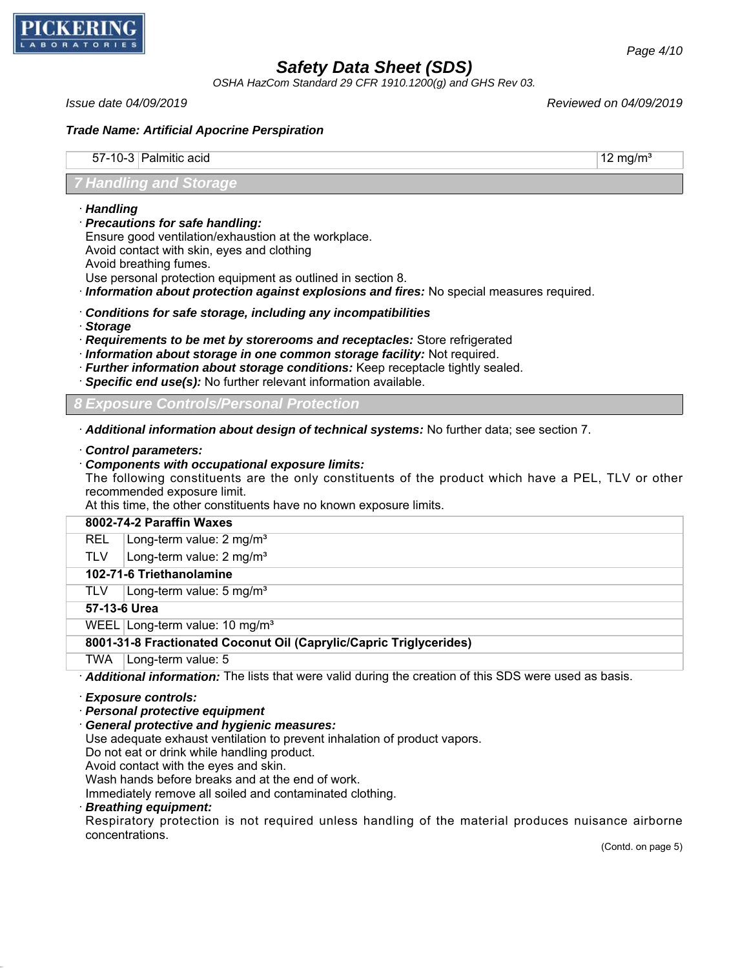

*OSHA HazCom Standard 29 CFR 1910.1200(g) and GHS Rev 03.*

*Issue date 04/09/2019 Reviewed on 04/09/2019*

*Page 4/10*

### *Trade Name: Artificial Apocrine Perspiration*

 $57-10-3$  Palmitic acid  $12 \text{ mg/m}^3$ 

## *7 Handling and Storage*

- · *Handling*
- · *Precautions for safe handling:*

Ensure good ventilation/exhaustion at the workplace.

Avoid contact with skin, eyes and clothing

Avoid breathing fumes.

Use personal protection equipment as outlined in section 8.

- · *Information about protection against explosions and fires:* No special measures required.
- · *Conditions for safe storage, including any incompatibilities*
- · *Storage*

· *Requirements to be met by storerooms and receptacles:* Store refrigerated

- · *Information about storage in one common storage facility:* Not required.
- · *Further information about storage conditions:* Keep receptacle tightly sealed.
- · *Specific end use(s):* No further relevant information available.

*8 Exposure Controls/Personal Protection*

· *Additional information about design of technical systems:* No further data; see section 7.

· *Control parameters:*

### · *Components with occupational exposure limits:*

The following constituents are the only constituents of the product which have a PEL, TLV or other recommended exposure limit.

At this time, the other constituents have no known exposure limits.

## **8002-74-2 Paraffin Waxes**

REL Long-term value: 2 mg/m<sup>3</sup>

TLV  $\vert$  Long-term value: 2 mg/m<sup>3</sup>

# **102-71-6 Triethanolamine**

TLV | Long-term value: 5 mg/m<sup>3</sup>

## **57-13-6 Urea**

WEEL Long-term value: 10 mg/m<sup>3</sup>

## **8001-31-8 Fractionated Coconut Oil (Caprylic/Capric Triglycerides)**

TWA | Long-term value: 5

· *Additional information:* The lists that were valid during the creation of this SDS were used as basis.

#### · *Exposure controls:*

· *Personal protective equipment*

· *General protective and hygienic measures:*

Use adequate exhaust ventilation to prevent inhalation of product vapors.

Do not eat or drink while handling product.

Avoid contact with the eyes and skin.

Wash hands before breaks and at the end of work.

Immediately remove all soiled and contaminated clothing.

### · *Breathing equipment:*

49.0.1

Respiratory protection is not required unless handling of the material produces nuisance airborne concentrations.

(Contd. on page 5)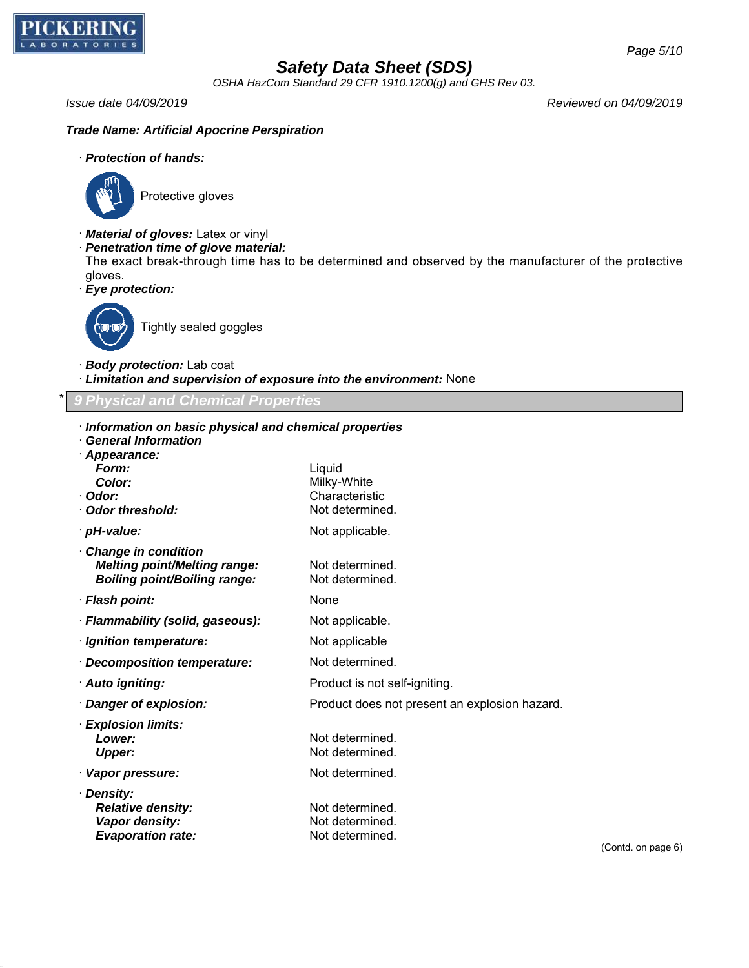

*OSHA HazCom Standard 29 CFR 1910.1200(g) and GHS Rev 03.*

*Issue date 04/09/2019 Reviewed on 04/09/2019*

## *Trade Name: Artificial Apocrine Perspiration*

## · *Protection of hands:*



Protective gloves

- · *Material of gloves:* Latex or vinyl
- · *Penetration time of glove material:*

The exact break-through time has to be determined and observed by the manufacturer of the protective gloves.

· *Eye protection:*



Tightly sealed goggles

- · *Body protection:* Lab coat
- · *Limitation and supervision of exposure into the environment:* None

## \* *9 Physical and Chemical Properties*

- · *Information on basic physical and chemical properties*
- · *General Information*
- · *Appearance: Form:* Liquid
- **Color:** Milky-White · *Odor:* Characteristic
- · **Odor threshold:** Not determined.
- · **pH-value:** Not applicable.
- · *Change in condition Melting point/Melting range:* Not determined. *Boiling point/Boiling range:* Not determined.
- · *Flash point:* None
- · *Flammability (solid, gaseous):* Not applicable.
- *Ignition temperature:* Not applicable
- · *Decomposition temperature:* Not determined.
- · **Auto igniting: Product is not self-igniting.**
- · *Danger of explosion:* Product does not present an explosion hazard.
- · *Explosion limits:* **Lower:** Not determined. **Upper:** Not determined.
- · **Vapor pressure:** Not determined.

49.0.1

· *Density: Relative density:* Not determined. **Vapor density:** Not determined. **Evaporation rate:** Not determined.

(Contd. on page 6)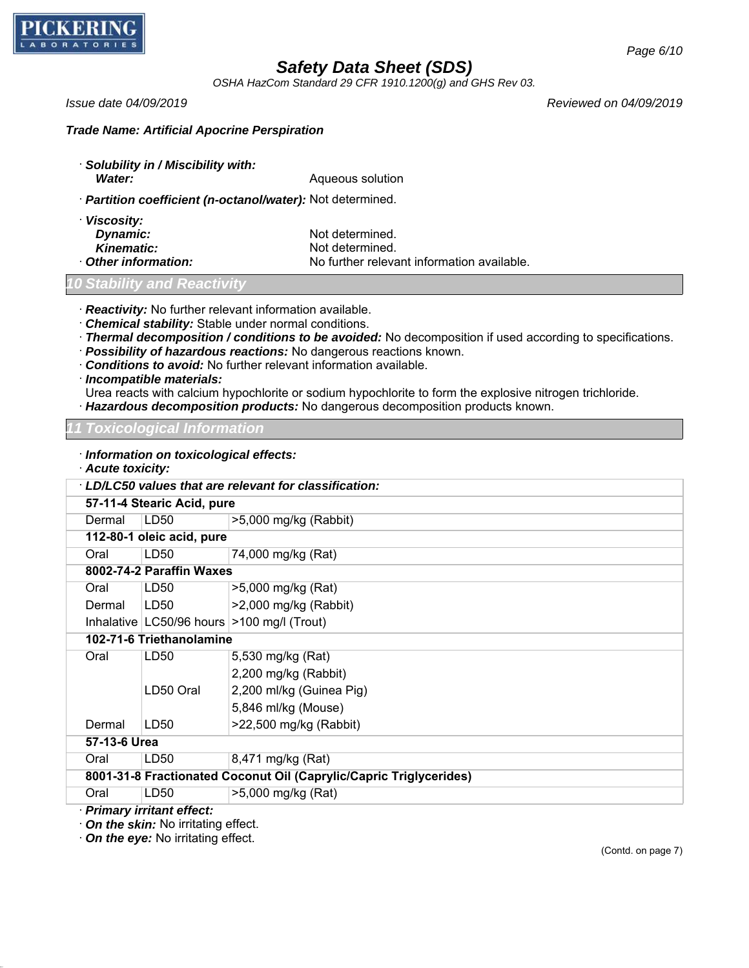

*OSHA HazCom Standard 29 CFR 1910.1200(g) and GHS Rev 03.*

*Issue date 04/09/2019 Reviewed on 04/09/2019*

*Page 6/10*

*Trade Name: Artificial Apocrine Perspiration*

· *Solubility in / Miscibility with:* **Water:** Mater: Mater: Aqueous solution

· *Partition coefficient (n-octanol/water):* Not determined.

| · Viscosity:        |
|---------------------|
| Dynamic:            |
| <b>Kinematic:</b>   |
| . Athor information |

Not determined. Not determined. **Other information:** No further relevant information available.

# *<u>Stability</u> and Reactiv*

· *Reactivity:* No further relevant information available.

- · *Chemical stability:* Stable under normal conditions.
- · *Thermal decomposition / conditions to be avoided:* No decomposition if used according to specifications.
- · *Possibility of hazardous reactions:* No dangerous reactions known.
- · *Conditions to avoid:* No further relevant information available.
- · *Incompatible materials:*

Urea reacts with calcium hypochlorite or sodium hypochlorite to form the explosive nitrogen trichloride.

· *Hazardous decomposition products:* No dangerous decomposition products known.

*11 Toxicological Information*

| · Information on toxicological effects:<br>· Acute toxicity: |                                                      |                                                                    |  |
|--------------------------------------------------------------|------------------------------------------------------|--------------------------------------------------------------------|--|
|                                                              | LD/LC50 values that are relevant for classification: |                                                                    |  |
|                                                              | 57-11-4 Stearic Acid, pure                           |                                                                    |  |
| Dermal                                                       | LD50                                                 | $>5,000$ mg/kg (Rabbit)                                            |  |
|                                                              | 112-80-1 oleic acid, pure                            |                                                                    |  |
| Oral                                                         | LD50                                                 | 74,000 mg/kg (Rat)                                                 |  |
|                                                              | 8002-74-2 Paraffin Waxes                             |                                                                    |  |
| Oral                                                         | LD <sub>50</sub>                                     | >5,000 mg/kg (Rat)                                                 |  |
| Dermal                                                       | LD50                                                 | >2,000 mg/kg (Rabbit)                                              |  |
|                                                              |                                                      | Inhalative $ $ LC50/96 hours $ $ >100 mg/l (Trout)                 |  |
|                                                              | 102-71-6 Triethanolamine                             |                                                                    |  |
| Oral                                                         | LD <sub>50</sub>                                     | 5,530 mg/kg (Rat)                                                  |  |
|                                                              |                                                      | 2,200 mg/kg (Rabbit)                                               |  |
|                                                              | LD50 Oral                                            | 2,200 ml/kg (Guinea Pig)                                           |  |
|                                                              |                                                      | 5,846 ml/kg (Mouse)                                                |  |
| Dermal                                                       | LD50                                                 | >22,500 mg/kg (Rabbit)                                             |  |
| 57-13-6 Urea                                                 |                                                      |                                                                    |  |
| Oral                                                         | LD <sub>50</sub>                                     | 8,471 mg/kg (Rat)                                                  |  |
|                                                              |                                                      | 8001-31-8 Fractionated Coconut Oil (Caprylic/Capric Triglycerides) |  |
| Oral                                                         | LD50                                                 | >5,000 mg/kg (Rat)                                                 |  |
|                                                              | · Primary irritant effect:                           |                                                                    |  |

49.0.1

· *On the skin:* No irritating effect.

· *On the eye:* No irritating effect.

(Contd. on page 7)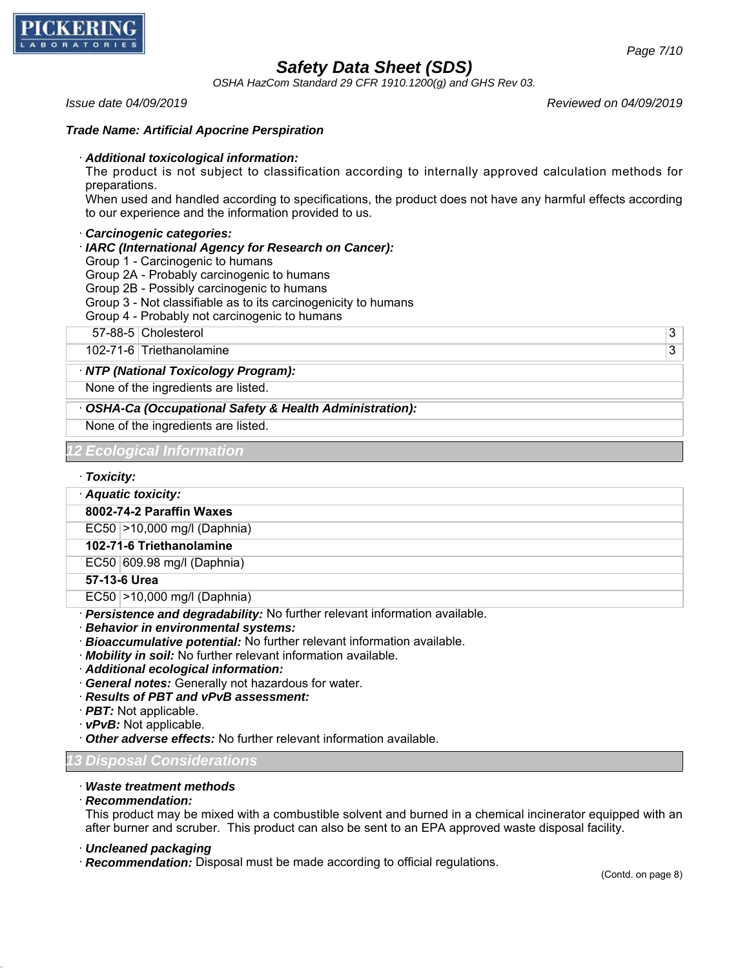

*OSHA HazCom Standard 29 CFR 1910.1200(g) and GHS Rev 03.*

*Issue date 04/09/2019 Reviewed on 04/09/2019*

### *Trade Name: Artificial Apocrine Perspiration*

#### · *Additional toxicological information:*

The product is not subject to classification according to internally approved calculation methods for preparations.

When used and handled according to specifications, the product does not have any harmful effects according to our experience and the information provided to us.

### · *Carcinogenic categories:*

- · *IARC (International Agency for Research on Cancer):*
- Group 1 Carcinogenic to humans
- Group 2A Probably carcinogenic to humans
- Group 2B Possibly carcinogenic to humans
- Group 3 Not classifiable as to its carcinogenicity to humans
- Group 4 Probably not carcinogenic to humans

57-88-5 Cholesterol 3

102-71-6 Triethanolamine 3

#### · *NTP (National Toxicology Program):*

None of the ingredients are listed.

· *OSHA-Ca (Occupational Safety & Health Administration):*

None of the ingredients are listed.

### *12 Ecological Information*

### · *Toxicity:*

· *Aquatic toxicity:*

#### **8002-74-2 Paraffin Waxes**

EC50 >10,000 mg/l (Daphnia)

#### **102-71-6 Triethanolamine**

## EC50 609.98 mg/l (Daphnia)

**57-13-6 Urea**

EC50 >10,000 mg/l (Daphnia)

- · *Persistence and degradability:* No further relevant information available.
- · *Behavior in environmental systems:*
- · *Bioaccumulative potential:* No further relevant information available.
- · *Mobility in soil:* No further relevant information available.
- · *Additional ecological information:*
- · *General notes:* Generally not hazardous for water.
- · *Results of PBT and vPvB assessment:*
- · *PBT:* Not applicable.
- · *vPvB:* Not applicable.
- · *Other adverse effects:* No further relevant information available.

# *13 Disposal Considerations*

### · *Waste treatment methods*

#### · *Recommendation:*

49.0.1

This product may be mixed with a combustible solvent and burned in a chemical incinerator equipped with an after burner and scruber. This product can also be sent to an EPA approved waste disposal facility.

- · *Uncleaned packaging*
- · *Recommendation:* Disposal must be made according to official regulations.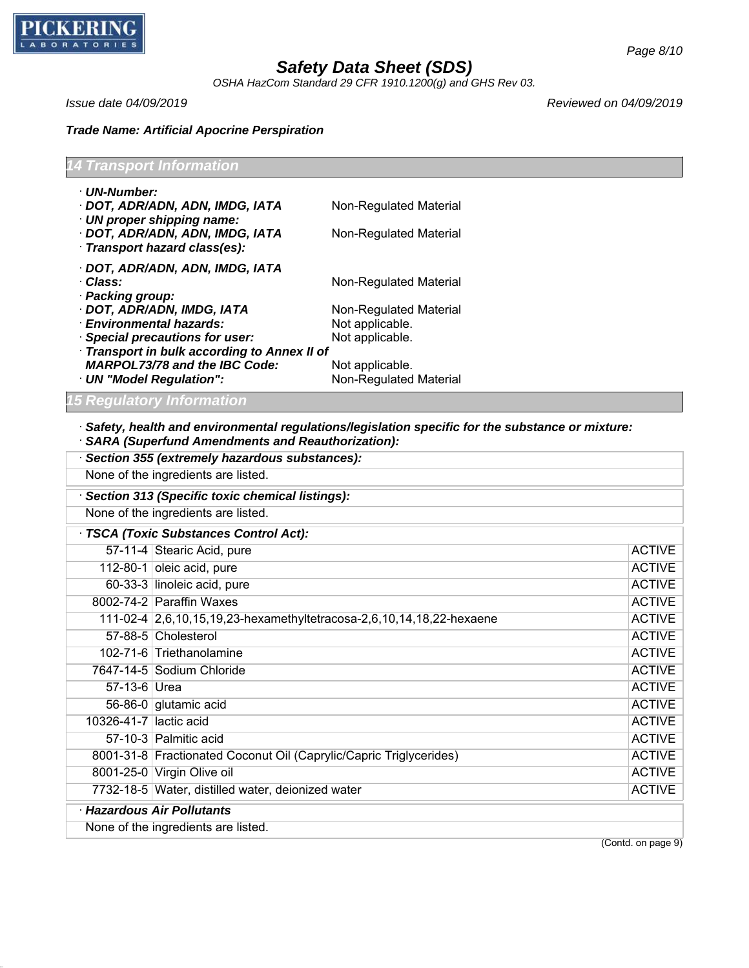

49.0.1

# *Safety Data Sheet (SDS)*

*OSHA HazCom Standard 29 CFR 1910.1200(g) and GHS Rev 03.*

*Issue date 04/09/2019 Reviewed on 04/09/2019*

# *Trade Name: Artificial Apocrine Perspiration*

| <b>14 Transport Information</b>                                                                |                        |
|------------------------------------------------------------------------------------------------|------------------------|
| · UN-Number:                                                                                   |                        |
| · DOT, ADR/ADN, ADN, IMDG, IATA                                                                | Non-Regulated Material |
| · UN proper shipping name:<br>· DOT, ADR/ADN, ADN, IMDG, IATA<br>· Transport hazard class(es): | Non-Regulated Material |
| · DOT, ADR/ADN, ADN, IMDG, IATA                                                                |                        |
| · Class:                                                                                       | Non-Regulated Material |
| · Packing group:                                                                               |                        |
| · DOT, ADR/ADN, IMDG, IATA                                                                     | Non-Regulated Material |
| $\cdot$ Environmental hazards:                                                                 | Not applicable.        |
| · Special precautions for user:                                                                | Not applicable.        |
| · Transport in bulk according to Annex II of                                                   |                        |
| <b>MARPOL73/78 and the IBC Code:</b>                                                           | Not applicable.        |
| · UN "Model Regulation":                                                                       | Non-Regulated Material |
| <b>15 Regulatory Information</b>                                                               |                        |

· *Safety, health and environmental regulations/legislation specific for the substance or mixture:* · *SARA (Superfund Amendments and Reauthorization):*

| None of the ingredients are listed.                                  |               |  |
|----------------------------------------------------------------------|---------------|--|
|                                                                      |               |  |
| Section 313 (Specific toxic chemical listings):                      |               |  |
| None of the ingredients are listed.                                  |               |  |
| TSCA (Toxic Substances Control Act):                                 |               |  |
| 57-11-4 Stearic Acid, pure                                           | <b>ACTIVE</b> |  |
| 112-80-1 oleic acid, pure                                            | <b>ACTIVE</b> |  |
| 60-33-3 linoleic acid, pure                                          | <b>ACTIVE</b> |  |
| 8002-74-2 Paraffin Waxes                                             | <b>ACTIVE</b> |  |
| 111-02-4 2,6,10,15,19,23-hexamethyltetracosa-2,6,10,14,18,22-hexaene | <b>ACTIVE</b> |  |
| 57-88-5 Cholesterol                                                  | <b>ACTIVE</b> |  |
| 102-71-6 Triethanolamine                                             | <b>ACTIVE</b> |  |
| 7647-14-5 Sodium Chloride                                            | <b>ACTIVE</b> |  |
| 57-13-6 Urea                                                         | <b>ACTIVE</b> |  |
| 56-86-0 glutamic acid                                                | <b>ACTIVE</b> |  |
| 10326-41-7 lactic acid                                               | <b>ACTIVE</b> |  |
| 57-10-3 Palmitic acid                                                | <b>ACTIVE</b> |  |
| 8001-31-8 Fractionated Coconut Oil (Caprylic/Capric Triglycerides)   | <b>ACTIVE</b> |  |
| 8001-25-0 Virgin Olive oil                                           | <b>ACTIVE</b> |  |
| 7732-18-5 Water, distilled water, deionized water                    | <b>ACTIVE</b> |  |
| · Hazardous Air Pollutants                                           |               |  |
| None of the ingredients are listed.<br>$\sqrt{2}$                    |               |  |

(Contd. on page 9)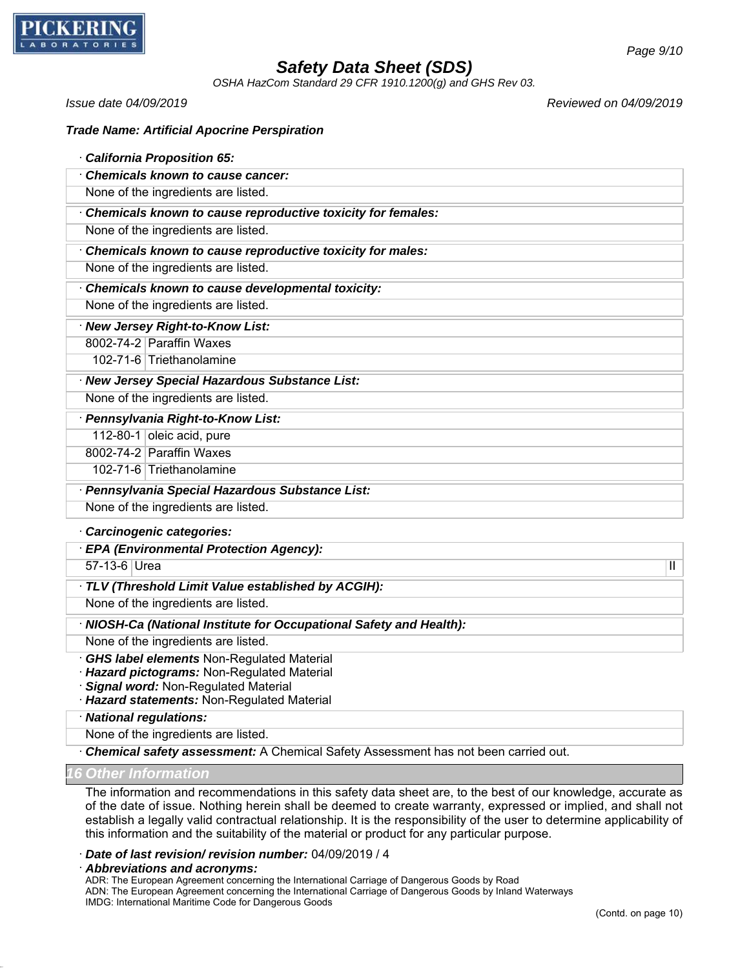

*OSHA HazCom Standard 29 CFR 1910.1200(g) and GHS Rev 03.*

*Issue date 04/09/2019 Reviewed on 04/09/2019*

| <b>Trade Name: Artificial Apocrine Perspiration</b> |
|-----------------------------------------------------|
|-----------------------------------------------------|

| <b>California Proposition 65:</b>                           |  |  |
|-------------------------------------------------------------|--|--|
| Chemicals known to cause cancer:                            |  |  |
| None of the ingredients are listed.                         |  |  |
| Chemicals known to cause reproductive toxicity for females: |  |  |
| None of the ingredients are listed.                         |  |  |
| Chemicals known to cause reproductive toxicity for males:   |  |  |
| None of the ingredients are listed.                         |  |  |
| Chemicals known to cause developmental toxicity:            |  |  |
| None of the ingredients are listed.                         |  |  |
| · New Jersey Right-to-Know List:                            |  |  |
| 8002-74-2 Paraffin Waxes                                    |  |  |
| 102-71-6 Triethanolamine                                    |  |  |
| · New Jersey Special Hazardous Substance List:              |  |  |
| None of the ingredients are listed.                         |  |  |
| · Pennsylvania Right-to-Know List:                          |  |  |
| 112-80-1 oleic acid, pure                                   |  |  |
| 8002-74-2 Paraffin Waxes                                    |  |  |
| 102-71-6 Triethanolamine                                    |  |  |
| · Pennsylvania Special Hazardous Substance List:            |  |  |
| None of the ingredients are listed.                         |  |  |
| Carcinogenic categories:                                    |  |  |

· *EPA (Environmental Protection Agency):*

57-13-6 Urea III and the set of the set of the set of the set of the set of the set of the set of the set of the set of the set of the set of the set of the set of the set of the set of the set of the set of the set of the

· *TLV (Threshold Limit Value established by ACGIH):*

None of the ingredients are listed.

· *NIOSH-Ca (National Institute for Occupational Safety and Health):*

None of the ingredients are listed.

· *GHS label elements* Non-Regulated Material

· *Hazard pictograms:* Non-Regulated Material

· *Signal word:* Non-Regulated Material

· *Hazard statements:* Non-Regulated Material

· *National regulations:*

None of the ingredients are listed.

· *Chemical safety assessment:* A Chemical Safety Assessment has not been carried out.

*<u>Other Information</u>* 

49.0.1

The information and recommendations in this safety data sheet are, to the best of our knowledge, accurate as of the date of issue. Nothing herein shall be deemed to create warranty, expressed or implied, and shall not establish a legally valid contractual relationship. It is the responsibility of the user to determine applicability of this information and the suitability of the material or product for any particular purpose.

· *Date of last revision/ revision number:* 04/09/2019 / 4

· *Abbreviations and acronyms:*

ADR: The European Agreement concerning the International Carriage of Dangerous Goods by Road ADN: The European Agreement concerning the International Carriage of Dangerous Goods by Inland Waterways IMDG: International Maritime Code for Dangerous Goods